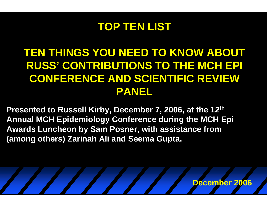#### **TOP TEN LIST**

### **TEN THINGS YOU NEED TO KNOW ABOUT RUSS' CONTRIBUTIONS TO THE MCH EPI CONFERENCE AND SCIENTIFIC REVIEW PANEL**

**Presented to Russell Kirby, December 7, 2006, at the 12th Annual MCH Epidemiology Conference during the MCH Epi Awards Luncheon by Sam Posner, with assistance from (among others) Zarinah Ali and Seema Gupta.**

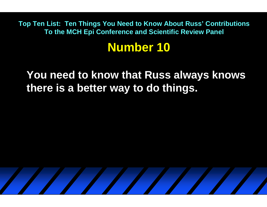## **Number 10**

**You need to know that Russ always knows there is a better way to do things.** 

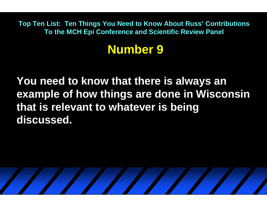## **Number 9**

**You need to know that there is always an example of how things are done in Wisconsin that is relevant to whatever is being discussed.**

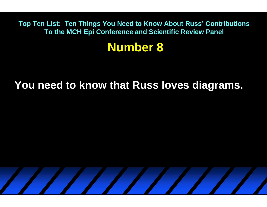#### **Number 8**

#### **You need to know that Russ loves diagrams.**

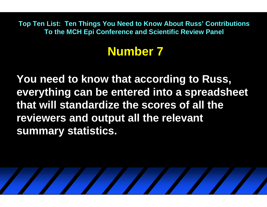# **Number 7**

**You need to know that according to Russ, everything can be entered into a spreadsheet that will standardize the scores of all the reviewers and output all the relevant summary statistics.**

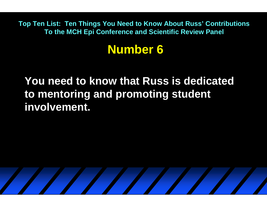## **Number 6**

**You need to know that Russ is dedicated to mentoring and promoting student involvement.**

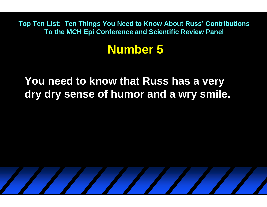### **Number 5**

**You need to know that Russ has a very dry dry sense of humor and a wry smile.**

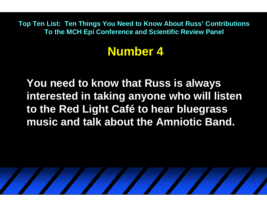# **Number 4**

**You need to know that Russ is always interested in taking anyone who will listen to the Red Light Café to hear bluegrass music and talk about the Amniotic Band.**

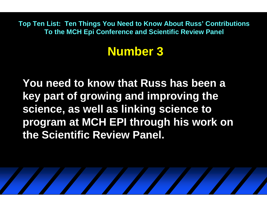# **Number 3**

**You need to know that Russ has been a key part of growing and improving the science, as well as linking science to program at MCH EPI through his work on the Scientific Review Panel.**

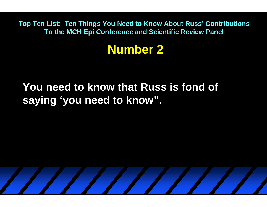### **Number 2**

### **You need to know that Russ is fond of saying 'you need to know".**